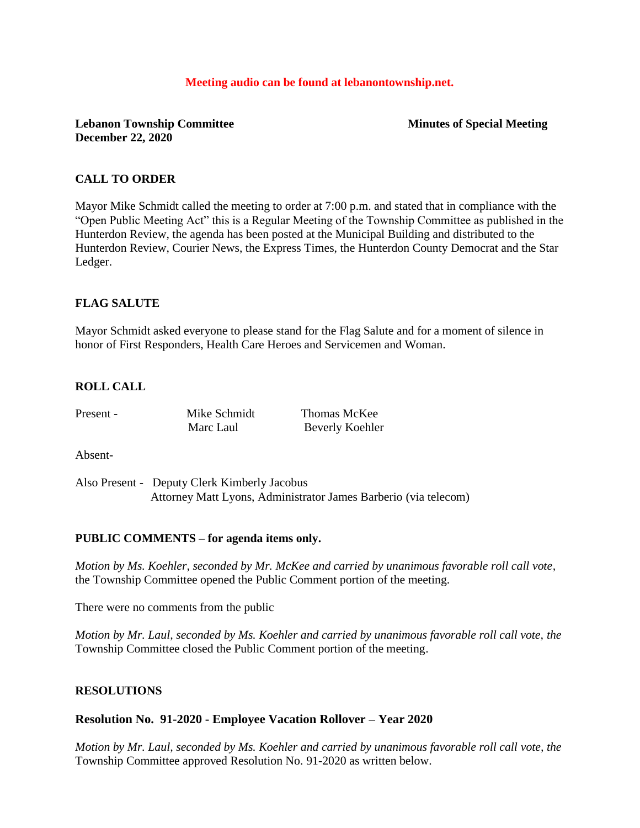#### **Meeting audio can be found at lebanontownship.net.**

**Lebanon Township Committee Minutes of Special Meeting December 22, 2020**

### **CALL TO ORDER**

Mayor Mike Schmidt called the meeting to order at 7:00 p.m. and stated that in compliance with the "Open Public Meeting Act" this is a Regular Meeting of the Township Committee as published in the Hunterdon Review, the agenda has been posted at the Municipal Building and distributed to the Hunterdon Review, Courier News, the Express Times, the Hunterdon County Democrat and the Star Ledger.

### **FLAG SALUTE**

Mayor Schmidt asked everyone to please stand for the Flag Salute and for a moment of silence in honor of First Responders, Health Care Heroes and Servicemen and Woman.

### **ROLL CALL**

| Present - | Mike Schmidt | Thomas McKee    |
|-----------|--------------|-----------------|
|           | Marc Laul    | Beverly Koehler |

Absent-

Also Present - Deputy Clerk Kimberly Jacobus Attorney Matt Lyons, Administrator James Barberio (via telecom)

#### **PUBLIC COMMENTS – for agenda items only.**

*Motion by Ms. Koehler, seconded by Mr. McKee and carried by unanimous favorable roll call vote,*  the Township Committee opened the Public Comment portion of the meeting.

There were no comments from the public

*Motion by Mr. Laul, seconded by Ms. Koehler and carried by unanimous favorable roll call vote, the*  Township Committee closed the Public Comment portion of the meeting.

#### **RESOLUTIONS**

#### **Resolution No. 91-2020 - Employee Vacation Rollover – Year 2020**

*Motion by Mr. Laul, seconded by Ms. Koehler and carried by unanimous favorable roll call vote, the* Township Committee approved Resolution No. 91-2020 as written below.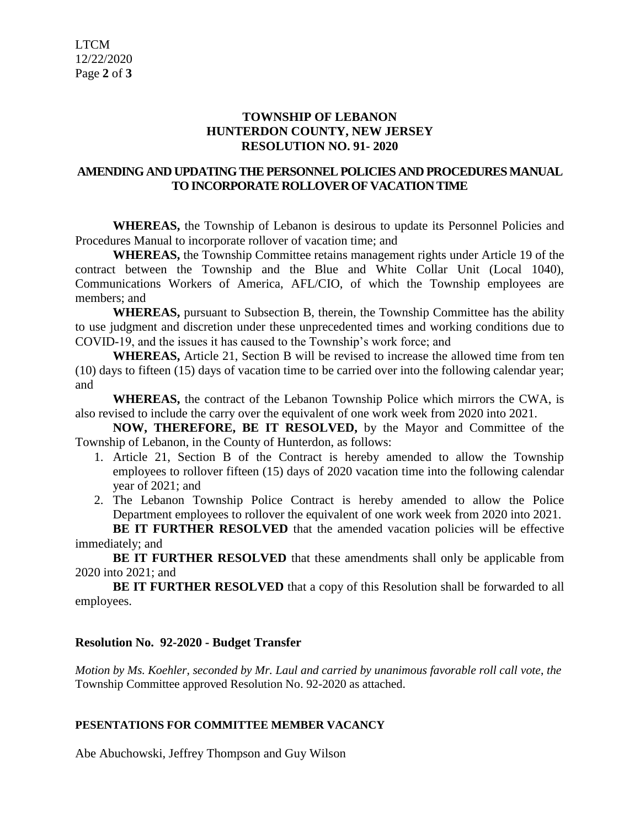# **TOWNSHIP OF LEBANON HUNTERDON COUNTY, NEW JERSEY RESOLUTION NO. 91- 2020**

# **AMENDING AND UPDATING THE PERSONNEL POLICIES AND PROCEDURES MANUAL TO INCORPORATE ROLLOVER OF VACATION TIME**

**WHEREAS,** the Township of Lebanon is desirous to update its Personnel Policies and Procedures Manual to incorporate rollover of vacation time; and

**WHEREAS,** the Township Committee retains management rights under Article 19 of the contract between the Township and the Blue and White Collar Unit (Local 1040), Communications Workers of America, AFL/CIO, of which the Township employees are members; and

**WHEREAS,** pursuant to Subsection B, therein, the Township Committee has the ability to use judgment and discretion under these unprecedented times and working conditions due to COVID-19, and the issues it has caused to the Township's work force; and

**WHEREAS,** Article 21, Section B will be revised to increase the allowed time from ten (10) days to fifteen (15) days of vacation time to be carried over into the following calendar year; and

**WHEREAS,** the contract of the Lebanon Township Police which mirrors the CWA, is also revised to include the carry over the equivalent of one work week from 2020 into 2021.

**NOW, THEREFORE, BE IT RESOLVED,** by the Mayor and Committee of the Township of Lebanon, in the County of Hunterdon, as follows:

- 1. Article 21, Section B of the Contract is hereby amended to allow the Township employees to rollover fifteen (15) days of 2020 vacation time into the following calendar year of 2021; and
- 2. The Lebanon Township Police Contract is hereby amended to allow the Police Department employees to rollover the equivalent of one work week from 2020 into 2021.

**BE IT FURTHER RESOLVED** that the amended vacation policies will be effective immediately; and

**BE IT FURTHER RESOLVED** that these amendments shall only be applicable from 2020 into 2021; and

**BE IT FURTHER RESOLVED** that a copy of this Resolution shall be forwarded to all employees.

# **Resolution No. 92-2020 - Budget Transfer**

*Motion by Ms. Koehler, seconded by Mr. Laul and carried by unanimous favorable roll call vote*, *the* Township Committee approved Resolution No. 92-2020 as attached.

# **PESENTATIONS FOR COMMITTEE MEMBER VACANCY**

Abe Abuchowski, Jeffrey Thompson and Guy Wilson